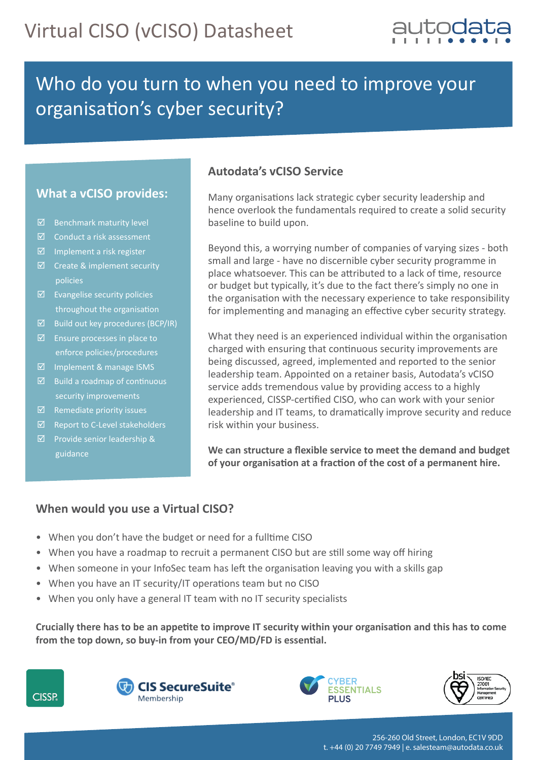

## Who do you turn to when you need to improve your organisation's cyber security?

## **What a vCISO provides:**

- $\boxtimes$  Benchmark maturity level
- $\boxtimes$  Conduct a risk assessment
- $\boxtimes$  Implement a risk register
- $\boxtimes$  Create & implement security policies
- $\boxtimes$  Evangelise security policies throughout the organisation
- $\boxtimes$  Build out key procedures (BCP/IR)
- $\boxtimes$  Ensure processes in place to enforce policies/procedures
- $\boxtimes$  Implement & manage ISMS
- $\boxtimes$  Build a roadmap of continuous security improvements
- $\boxtimes$  Remediate priority issues
- $\boxtimes$  Report to C-Level stakeholders
- Provide senior leadership & guidance

#### **Autodata's vCISO Service**

Many organisations lack strategic cyber security leadership and hence overlook the fundamentals required to create a solid security baseline to build upon.

Beyond this, a worrying number of companies of varying sizes - both small and large - have no discernible cyber security programme in place whatsoever. This can be attributed to a lack of time, resource or budget but typically, it's due to the fact there's simply no one in the organisation with the necessary experience to take responsibility for implementing and managing an effective cyber security strategy.

What they need is an experienced individual within the organisation charged with ensuring that continuous security improvements are being discussed, agreed, implemented and reported to the senior leadership team. Appointed on a retainer basis, Autodata's vCISO service adds tremendous value by providing access to a highly experienced, CISSP-cer�fied CISO, who can work with your senior leadership and IT teams, to drama�cally improve security and reduce risk within your business.

**We can structure a flexible service to meet the demand and budget**  of your organisation at a fraction of the cost of a permanent hire.

## **When would you use a Virtual CISO?**

- When you don't have the budget or need for a fulltime CISO
- When you have a roadmap to recruit a permanent CISO but are still some way off hiring
- When someone in your InfoSec team has left the organisation leaving you with a skills gap
- When you have an IT security/IT operations team but no CISO
- When you only have a general IT team with no IT security specialists

Crucially there has to be an appetite to improve IT security within your organisation and this has to come from the top down, so buy-in from your CEO/MD/FD is essential.







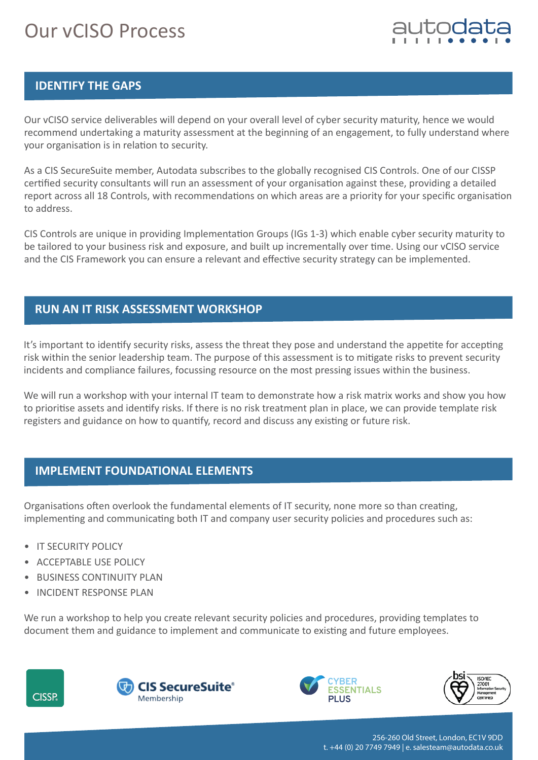# Our vCISO Process



## **IDENTIFY THE GAPS**

Our vCISO service deliverables will depend on your overall level of cyber security maturity, hence we would recommend undertaking a maturity assessment at the beginning of an engagement, to fully understand where your organisation is in relation to security.

As a CIS SecureSuite member, Autodata subscribes to the globally recognised CIS Controls. One of our CISSP certified security consultants will run an assessment of your organisation against these, providing a detailed report across all 18 Controls, with recommendations on which areas are a priority for your specific organisation to address.

CIS Controls are unique in providing Implementation Groups (IGs 1-3) which enable cyber security maturity to be tailored to your business risk and exposure, and built up incrementally over time. Using our vCISO service and the CIS Framework you can ensure a relevant and effective security strategy can be implemented.

## **RUN AN IT RISK ASSESSMENT WORKSHOP**

It's important to identify security risks, assess the threat they pose and understand the appetite for accepting risk within the senior leadership team. The purpose of this assessment is to mitigate risks to prevent security incidents and compliance failures, focussing resource on the most pressing issues within the business.

We will run a workshop with your internal IT team to demonstrate how a risk matrix works and show you how to prioritise assets and identify risks. If there is no risk treatment plan in place, we can provide template risk registers and guidance on how to quantify, record and discuss any existing or future risk.

## **IMPLEMENT FOUNDATIONAL ELEMENTS**

Organisations often overlook the fundamental elements of IT security, none more so than creating, implementing and communicating both IT and company user security policies and procedures such as:

- IT SECURITY POLICY
- ACCEPTABLE USE POLICY
- BUSINESS CONTINUITY PLAN
- INCIDENT RESPONSE PLAN

We run a workshop to help you create relevant security policies and procedures, providing templates to document them and guidance to implement and communicate to existing and future employees.